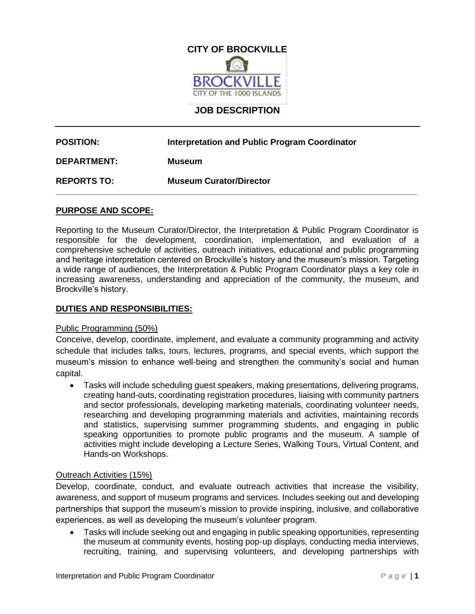

# **JOB DESCRIPTION**

| <b>POSITION:</b>   | Interpretation and Public Program Coordinator |
|--------------------|-----------------------------------------------|
| <b>DEPARTMENT:</b> | Museum                                        |
| <b>REPORTS TO:</b> | <b>Museum Curator/Director</b>                |

#### **PURPOSE AND SCOPE:**

Reporting to the Museum Curator/Director, the Interpretation & Public Program Coordinator is responsible for the development, coordination, implementation, and evaluation of a comprehensive schedule of activities, outreach initiatives, educational and public programming and heritage interpretation centered on Brockville's history and the museum's mission. Targeting a wide range of audiences, the Interpretation & Public Program Coordinator plays a key role in increasing awareness, understanding and appreciation of the community, the museum, and Brockville's history.

#### **DUTIES AND RESPONSIBILITIES:**

#### Public Programming (50%)

Conceive, develop, coordinate, implement, and evaluate a community programming and activity schedule that includes talks, tours, lectures, programs, and special events, which support the museum's mission to enhance well-being and strengthen the community's social and human capital.

• Tasks will include scheduling guest speakers, making presentations, delivering programs, creating hand-outs, coordinating registration procedures, liaising with community partners and sector professionals, developing marketing materials, coordinating volunteer needs, researching and developing programming materials and activities, maintaining records and statistics, supervising summer programming students, and engaging in public speaking opportunities to promote public programs and the museum. A sample of activities might include developing a Lecture Series, Walking Tours, Virtual Content, and Hands-on Workshops.

#### Outreach Activities (15%)

Develop, coordinate, conduct, and evaluate outreach activities that increase the visibility, awareness, and support of museum programs and services. Includes seeking out and developing partnerships that support the museum's mission to provide inspiring, inclusive, and collaborative experiences, as well as developing the museum's volunteer program.

• Tasks will include seeking out and engaging in public speaking opportunities, representing the museum at community events, hosting pop-up displays, conducting media interviews, recruiting, training, and supervising volunteers, and developing partnerships with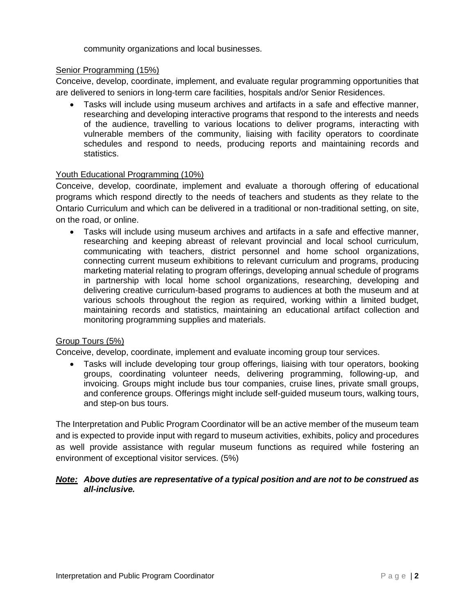community organizations and local businesses.

## Senior Programming (15%)

Conceive, develop, coordinate, implement, and evaluate regular programming opportunities that are delivered to seniors in long-term care facilities, hospitals and/or Senior Residences.

• Tasks will include using museum archives and artifacts in a safe and effective manner, researching and developing interactive programs that respond to the interests and needs of the audience, travelling to various locations to deliver programs, interacting with vulnerable members of the community, liaising with facility operators to coordinate schedules and respond to needs, producing reports and maintaining records and statistics.

## Youth Educational Programming (10%)

Conceive, develop, coordinate, implement and evaluate a thorough offering of educational programs which respond directly to the needs of teachers and students as they relate to the Ontario Curriculum and which can be delivered in a traditional or non-traditional setting, on site, on the road, or online.

• Tasks will include using museum archives and artifacts in a safe and effective manner, researching and keeping abreast of relevant provincial and local school curriculum, communicating with teachers, district personnel and home school organizations, connecting current museum exhibitions to relevant curriculum and programs, producing marketing material relating to program offerings, developing annual schedule of programs in partnership with local home school organizations, researching, developing and delivering creative curriculum-based programs to audiences at both the museum and at various schools throughout the region as required, working within a limited budget, maintaining records and statistics, maintaining an educational artifact collection and monitoring programming supplies and materials.

## Group Tours (5%)

Conceive, develop, coordinate, implement and evaluate incoming group tour services.

• Tasks will include developing tour group offerings, liaising with tour operators, booking groups, coordinating volunteer needs, delivering programming, following-up, and invoicing. Groups might include bus tour companies, cruise lines, private small groups, and conference groups. Offerings might include self-guided museum tours, walking tours, and step-on bus tours.

The Interpretation and Public Program Coordinator will be an active member of the museum team and is expected to provide input with regard to museum activities, exhibits, policy and procedures as well provide assistance with regular museum functions as required while fostering an environment of exceptional visitor services. (5%)

#### *Note: Above duties are representative of a typical position and are not to be construed as all-inclusive.*